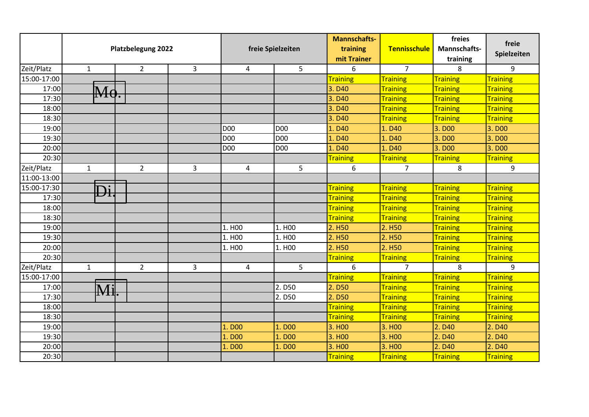|             |                     | <b>Platzbelegung 2022</b> |                | freie Spielzeiten   |                    | <b>Mannschafts-</b><br>training<br>mit Trainer | <b>Tennisschule</b> | freies<br>Mannschafts-<br>training | freie<br>Spielzeiten |
|-------------|---------------------|---------------------------|----------------|---------------------|--------------------|------------------------------------------------|---------------------|------------------------------------|----------------------|
| Zeit/Platz  | $\mathbf{1}$        | $\overline{2}$            | $\overline{3}$ | 4                   | 5                  | 6                                              | $\overline{7}$      | 8                                  | 9                    |
| 15:00-17:00 |                     |                           |                |                     |                    | Training                                       | <b>Training</b>     | <b>Training</b>                    | <b>Training</b>      |
| 17:00       | $\mathbb{M}\sigma.$ |                           |                |                     |                    | 3. D <sub>40</sub>                             | <b>Training</b>     | <b>Training</b>                    | <b>Training</b>      |
| 17:30       |                     |                           |                |                     |                    | 3. D40                                         | <b>Training</b>     | <b>Training</b>                    | <b>Training</b>      |
| 18:00       |                     |                           |                |                     |                    | 3. D <sub>40</sub>                             | <b>Training</b>     | <b>Training</b>                    | Training             |
| 18:30       |                     |                           |                |                     |                    | 3. D <sub>40</sub>                             | <b>Training</b>     | <b>Training</b>                    | Training             |
| 19:00       |                     |                           |                | <b>D00</b>          | <b>D00</b>         | 1. D <sub>40</sub>                             | 1. D40              | 3. D <sub>00</sub>                 | 3. D <sub>00</sub>   |
| 19:30       |                     |                           |                | D <sub>00</sub>     | <b>D00</b>         | 1. D40                                         | 1. D40              | 3. D <sub>00</sub>                 | 3. D <sub>00</sub>   |
| 20:00       |                     |                           |                | D <sub>00</sub>     | <b>D00</b>         | 1. D <sub>40</sub>                             | 1. D <sub>40</sub>  | 3. D <sub>00</sub>                 | 3. D <sub>00</sub>   |
| 20:30       |                     |                           |                |                     |                    | Training                                       | <b>Training</b>     | <b>Training</b>                    | Training             |
| Zeit/Platz  | $\mathbf{1}$        | $\overline{2}$            | $\overline{3}$ | 4                   | 5                  | 6                                              | $\overline{7}$      | 8                                  | 9                    |
| 11:00-13:00 |                     |                           |                |                     |                    |                                                |                     |                                    |                      |
| 15:00-17:30 | Đi.                 |                           |                |                     |                    | <b>Training</b>                                | <b>Training</b>     | <b>Training</b>                    | <b>Training</b>      |
| 17:30       |                     |                           |                |                     |                    | <b>Training</b>                                | <b>Training</b>     | <b>Training</b>                    | <b>Training</b>      |
| 18:00       |                     |                           |                |                     |                    | <b>Training</b>                                | <b>Training</b>     | <b>Training</b>                    | Training             |
| 18:30       |                     |                           |                |                     |                    | <b>Training</b>                                | <b>Training</b>     | <b>Training</b>                    | <b>Training</b>      |
| 19:00       |                     |                           |                | 1. H <sub>0</sub> 0 | 1. H <sub>00</sub> | 2. H <sub>50</sub>                             | 2. H <sub>50</sub>  | <b>Training</b>                    | <b>Training</b>      |
| 19:30       |                     |                           |                | 1. H <sub>00</sub>  | 1. H <sub>00</sub> | 2. H <sub>50</sub>                             | 2. H <sub>50</sub>  | <b>Training</b>                    | <b>Training</b>      |
| 20:00       |                     |                           |                | 1. H <sub>0</sub> 0 | 1. H <sub>0</sub>  | 2. H <sub>50</sub>                             | 2. H <sub>50</sub>  | <b>Training</b>                    | <b>Training</b>      |
| 20:30       |                     |                           |                |                     |                    | <b>Training</b>                                | <b>Training</b>     | <b>Training</b>                    | <b>Training</b>      |
| Zeit/Platz  | $\mathbf{1}$        | $\overline{2}$            | $\overline{3}$ | 4                   | 5                  | 6                                              | $\overline{7}$      | 8                                  | $\mathsf q$          |
| 15:00-17:00 |                     |                           |                |                     |                    | <b>Training</b>                                | <b>Training</b>     | <b>Training</b>                    | <b>Training</b>      |
| 17:00       | Mi.                 |                           |                |                     | 2. D50             | 2. D50                                         | <b>Training</b>     | <b>Training</b>                    | Training             |
| 17:30       |                     |                           |                |                     | 2. D50             | 2. D50                                         | <b>Training</b>     | <b>Training</b>                    | <b>Training</b>      |
| 18:00       |                     |                           |                |                     |                    | <b>Training</b>                                | <b>Training</b>     | <b>Training</b>                    | Training             |
| 18:30       |                     |                           |                |                     |                    | <b>Training</b>                                | <b>Training</b>     | <b>Training</b>                    | <b>Training</b>      |
| 19:00       |                     |                           |                | 1. D <sub>00</sub>  | 1. D <sub>00</sub> | 3. H00                                         | 3. H <sub>0</sub>   | 2. D <sub>40</sub>                 | 2. D <sub>40</sub>   |
| 19:30       |                     |                           |                | 1. D00              | 1. D00             | 3. H <sub>0</sub>                              | 3. H <sub>0</sub>   | 2. D40                             | 2. D40               |
| 20:00       |                     |                           |                | 1. D <sub>00</sub>  | 1. D <sub>00</sub> | 3. H <sub>00</sub>                             | 3. H <sub>00</sub>  | 2. D40                             | 2. D <sub>40</sub>   |
| 20:30       |                     |                           |                |                     |                    | Training                                       | <b>Training</b>     | <b>Training</b>                    | <b>Training</b>      |